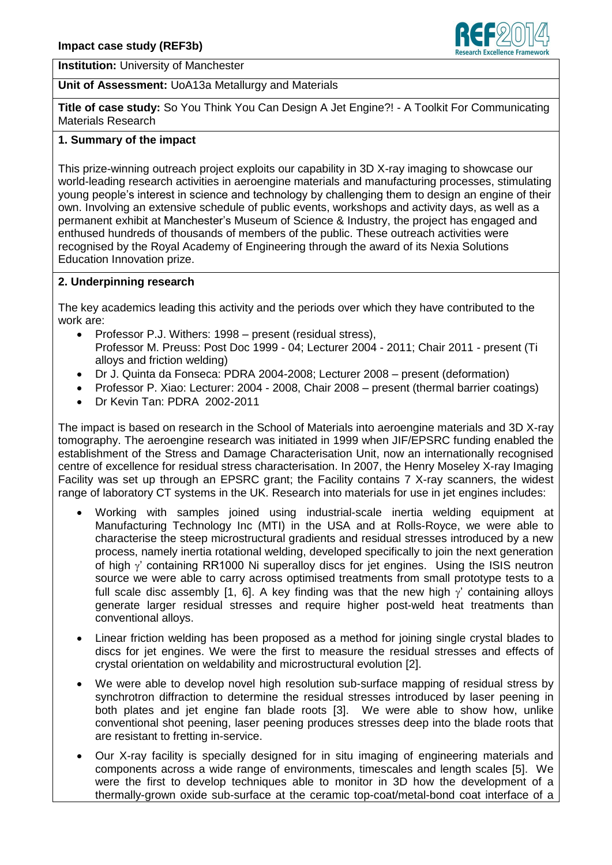

**Institution:** University of Manchester

#### **Unit of Assessment:** UoA13a Metallurgy and Materials

**Title of case study:** So You Think You Can Design A Jet Engine?! - A Toolkit For Communicating Materials Research

#### **1. Summary of the impact**

This prize-winning outreach project exploits our capability in 3D X-ray imaging to showcase our world-leading research activities in aeroengine materials and manufacturing processes, stimulating young people's interest in science and technology by challenging them to design an engine of their own. Involving an extensive schedule of public events, workshops and activity days, as well as a permanent exhibit at Manchester's Museum of Science & Industry, the project has engaged and enthused hundreds of thousands of members of the public. These outreach activities were recognised by the Royal Academy of Engineering through the award of its Nexia Solutions Education Innovation prize.

#### **2. Underpinning research**

The key academics leading this activity and the periods over which they have contributed to the work are:

- Professor P.J. Withers: 1998 present (residual stress), Professor M. Preuss: Post Doc 1999 - 04; Lecturer 2004 - 2011; Chair 2011 - present (Ti alloys and friction welding)
- Dr J. Quinta da Fonseca: PDRA 2004-2008; Lecturer 2008 present (deformation)
- Professor P. Xiao: Lecturer: 2004 2008, Chair 2008 present (thermal barrier coatings)
- Dr Kevin Tan: PDRA 2002-2011

The impact is based on research in the School of Materials into aeroengine materials and 3D X-ray tomography. The aeroengine research was initiated in 1999 when JIF/EPSRC funding enabled the establishment of the Stress and Damage Characterisation Unit, now an internationally recognised centre of excellence for residual stress characterisation. In 2007, the Henry Moseley X-ray Imaging Facility was set up through an EPSRC grant; the Facility contains 7 X-ray scanners, the widest range of laboratory CT systems in the UK. Research into materials for use in jet engines includes:

- Working with samples joined using industrial-scale inertia welding equipment at Manufacturing Technology Inc (MTI) in the USA and at Rolls-Royce, we were able to characterise the steep microstructural gradients and residual stresses introduced by a new process, namely inertia rotational welding, developed specifically to join the next generation of high  $\gamma'$  containing RR1000 Ni superalloy discs for jet engines. Using the ISIS neutron source we were able to carry across optimised treatments from small prototype tests to a full scale disc assembly [1, 6]. A key finding was that the new high  $\gamma'$  containing alloys generate larger residual stresses and require higher post-weld heat treatments than conventional alloys.
- Linear friction welding has been proposed as a method for joining single crystal blades to discs for jet engines. We were the first to measure the residual stresses and effects of crystal orientation on weldability and microstructural evolution [2].
- We were able to develop novel high resolution sub-surface mapping of residual stress by synchrotron diffraction to determine the residual stresses introduced by laser peening in both plates and jet engine fan blade roots [3]. We were able to show how, unlike conventional shot peening, laser peening produces stresses deep into the blade roots that are resistant to fretting in-service.
- Our X-ray facility is specially designed for in situ imaging of engineering materials and components across a wide range of environments, timescales and length scales [5]. We were the first to develop techniques able to monitor in 3D how the development of a thermally-grown oxide sub-surface at the ceramic top-coat/metal-bond coat interface of a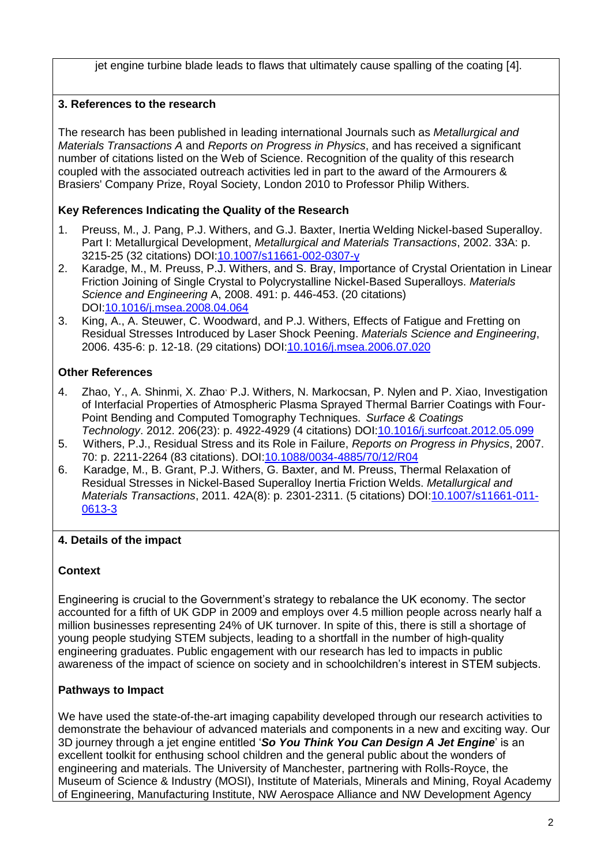jet engine turbine blade leads to flaws that ultimately cause spalling of the coating [4].

# **3. References to the research**

The research has been published in leading international Journals such as *Metallurgical and Materials Transactions A* and *Reports on Progress in Physics*, and has received a significant number of citations listed on the Web of Science. Recognition of the quality of this research coupled with the associated outreach activities led in part to the award of the Armourers & Brasiers' Company Prize, Royal Society, London 2010 to Professor Philip Withers.

## **Key References Indicating the Quality of the Research**

- 1. Preuss, M., J. Pang, P.J. Withers, and G.J. Baxter, Inertia Welding Nickel-based Superalloy. Part I: Metallurgical Development, *Metallurgical and Materials Transactions*, 2002. 33A: p. 3215-25 (32 citations) DOI[:10.1007/s11661-002-0307-y](http://dx.doi.org/10.1007/s11661-002-0307-y)
- 2. Karadge, M., M. Preuss, P.J. Withers, and S. Bray, Importance of Crystal Orientation in Linear Friction Joining of Single Crystal to Polycrystalline Nickel-Based Superalloys. *Materials Science and Engineering* A, 2008. 491: p. 446-453. (20 citations) DOI[:10.1016/j.msea.2008.04.064](http://dx.doi.org/10.1016/j.msea.2008.04.064)
- 3. King, A., A. Steuwer, C. Woodward, and P.J. Withers, Effects of Fatigue and Fretting on Residual Stresses Introduced by Laser Shock Peening. *Materials Science and Engineering*, 2006. 435-6: p. 12-18. (29 citations) DOI[:10.1016/j.msea.2006.07.020](http://dx.doi.org/10.1016/j.msea.2006.07.020)

## **Other References**

- 4. Zhao, Y., A. Shinmi, X. Zhao, P.J. Withers, N. Markocsan, P. Nylen and P. Xiao, Investigation of Interfacial Properties of Atmospheric Plasma Sprayed Thermal Barrier Coatings with Four-Point Bending and Computed Tomography Techniques. *Surface & Coatings Technology*. 2012. 206(23): p. 4922-4929 (4 citations) DOI[:10.1016/j.surfcoat.2012.05.099](http://dx.doi.org/10.1016/j.surfcoat.2012.05.099)
- 5. Withers, P.J., Residual Stress and its Role in Failure, *Reports on Progress in Physics*, 2007. 70: p. 2211-2264 (83 citations). DOI[:10.1088/0034-4885/70/12/R04](http://dx.doi.org/10.1088/0034-4885/70/12/R04)
- 6. Karadge, M., B. Grant, P.J. Withers, G. Baxter, and M. Preuss, Thermal Relaxation of Residual Stresses in Nickel-Based Superalloy Inertia Friction Welds. *Metallurgical and Materials Transactions*, 2011. 42A(8): p. 2301-2311. (5 citations) DOI[:10.1007/s11661-011-](http://dx.doi.org/10.1007/s11661-011-0613-3) [0613-3](http://dx.doi.org/10.1007/s11661-011-0613-3)

## **4. Details of the impact**

## **Context**

Engineering is crucial to the Government's strategy to rebalance the UK economy. The sector accounted for a fifth of UK GDP in 2009 and employs over 4.5 million people across nearly half a million businesses representing 24% of UK turnover. In spite of this, there is still a shortage of young people studying STEM subjects, leading to a shortfall in the number of high-quality engineering graduates. Public engagement with our research has led to impacts in public awareness of the impact of science on society and in schoolchildren's interest in STEM subjects.

## **Pathways to Impact**

We have used the state-of-the-art imaging capability developed through our research activities to demonstrate the behaviour of advanced materials and components in a new and exciting way. Our 3D journey through a jet engine entitled '*So You Think You Can Design A Jet Engine*' is an excellent toolkit for enthusing school children and the general public about the wonders of engineering and materials. The University of Manchester, partnering with Rolls-Royce, the Museum of Science & Industry (MOSI), Institute of Materials, Minerals and Mining, Royal Academy of Engineering, Manufacturing Institute, NW Aerospace Alliance and NW Development Agency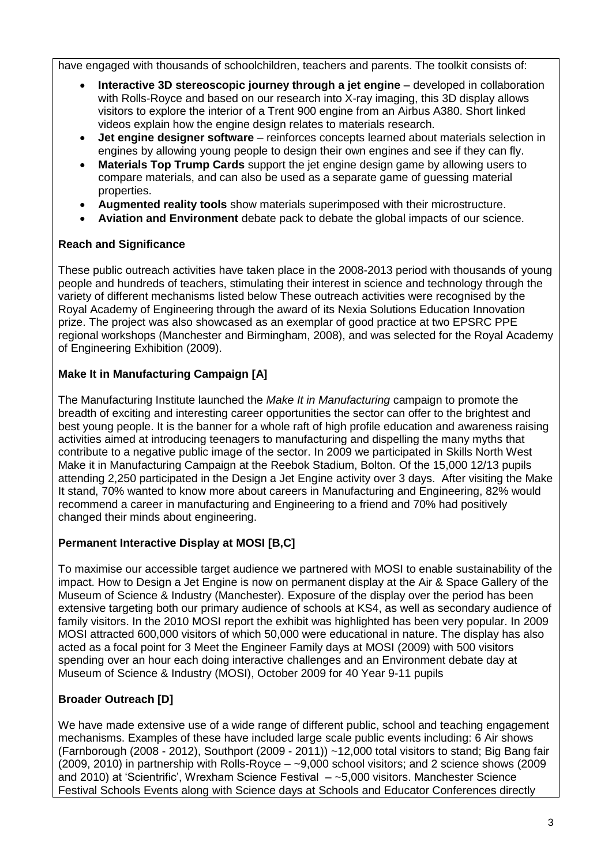have engaged with thousands of schoolchildren, teachers and parents. The toolkit consists of:

- **Interactive 3D stereoscopic journey through a jet engine** developed in collaboration with Rolls-Royce and based on our research into X-ray imaging, this 3D display allows visitors to explore the interior of a Trent 900 engine from an Airbus A380. Short linked videos explain how the engine design relates to materials research.
- **Jet engine designer software** reinforces concepts learned about materials selection in engines by allowing young people to design their own engines and see if they can fly.
- **Materials Top Trump Cards** support the jet engine design game by allowing users to compare materials, and can also be used as a separate game of guessing material properties.
- **Augmented reality tools** show materials superimposed with their microstructure.
- **Aviation and Environment** debate pack to debate the global impacts of our science.

## **Reach and Significance**

These public outreach activities have taken place in the 2008-2013 period with thousands of young people and hundreds of teachers, stimulating their interest in science and technology through the variety of different mechanisms listed below These outreach activities were recognised by the Royal Academy of Engineering through the award of its Nexia Solutions Education Innovation prize. The project was also showcased as an exemplar of good practice at two EPSRC PPE regional workshops (Manchester and Birmingham, 2008), and was selected for the Royal Academy of Engineering Exhibition (2009).

# **Make It in Manufacturing Campaign [A]**

The Manufacturing Institute launched the *Make It in Manufacturing* campaign to promote the breadth of exciting and interesting career opportunities the sector can offer to the brightest and best young people. It is the banner for a whole raft of high profile education and awareness raising activities aimed at introducing teenagers to manufacturing and dispelling the many myths that contribute to a negative public image of the sector. In 2009 we participated in Skills North West Make it in Manufacturing Campaign at the Reebok Stadium, Bolton. Of the 15,000 12/13 pupils attending 2,250 participated in the Design a Jet Engine activity over 3 days. After visiting the Make It stand, 70% wanted to know more about careers in Manufacturing and Engineering, 82% would recommend a career in manufacturing and Engineering to a friend and 70% had positively changed their minds about engineering.

## **Permanent Interactive Display at MOSI [B,C]**

To maximise our accessible target audience we partnered with MOSI to enable sustainability of the impact. How to Design a Jet Engine is now on permanent display at the Air & Space Gallery of the Museum of Science & Industry (Manchester). Exposure of the display over the period has been extensive targeting both our primary audience of schools at KS4, as well as secondary audience of family visitors. In the 2010 MOSI report the exhibit was highlighted has been very popular. In 2009 MOSI attracted 600,000 visitors of which 50,000 were educational in nature. The display has also acted as a focal point for 3 Meet the Engineer Family days at MOSI (2009) with 500 visitors spending over an hour each doing interactive challenges and an Environment debate day at Museum of Science & Industry (MOSI), October 2009 for 40 Year 9-11 pupils

# **Broader Outreach [D]**

We have made extensive use of a wide range of different public, school and teaching engagement mechanisms. Examples of these have included large scale public events including: 6 Air shows (Farnborough (2008 - 2012), Southport (2009 - 2011)) ~12,000 total visitors to stand; Big Bang fair (2009, 2010) in partnership with Rolls-Royce – ~9,000 school visitors; and 2 science shows (2009 and 2010) at 'Scientrific', Wrexham Science Festival – ~5,000 visitors. Manchester Science Festival Schools Events along with Science days at Schools and Educator Conferences directly